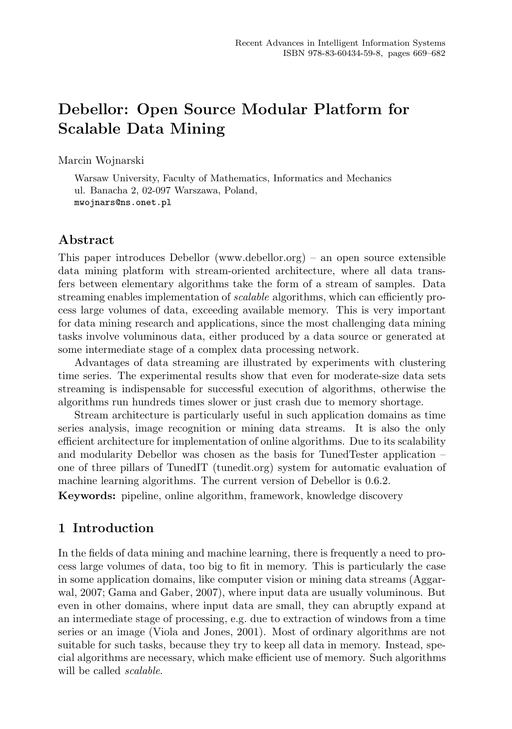# Debellor: Open Source Modular Platform for Scalable Data Mining

Marcin Wojnarski

Warsaw University, Faculty of Mathematics, Informatics and Mechanics ul. Banacha 2, 02-097 Warszawa, Poland, mwojnars@ns.onet.pl

### Abstract

This paper introduces Debellor (www.debellor.org) – an open source extensible data mining platform with stream-oriented architecture, where all data transfers between elementary algorithms take the form of a stream of samples. Data streaming enables implementation of *scalable* algorithms, which can efficiently process large volumes of data, exceeding available memory. This is very important for data mining research and applications, since the most challenging data mining tasks involve voluminous data, either produced by a data source or generated at some intermediate stage of a complex data processing network.

Advantages of data streaming are illustrated by experiments with clustering time series. The experimental results show that even for moderate-size data sets streaming is indispensable for successful execution of algorithms, otherwise the algorithms run hundreds times slower or just crash due to memory shortage.

Stream architecture is particularly useful in such application domains as time series analysis, image recognition or mining data streams. It is also the only efficient architecture for implementation of online algorithms. Due to its scalability and modularity Debellor was chosen as the basis for TunedTester application – one of three pillars of TunedIT (tunedit.org) system for automatic evaluation of machine learning algorithms. The current version of Debellor is 0.6.2.

Keywords: pipeline, online algorithm, framework, knowledge discovery

### 1 Introduction

In the fields of data mining and machine learning, there is frequently a need to process large volumes of data, too big to fit in memory. This is particularly the case in some application domains, like computer vision or mining data streams (Aggarwal, 2007; Gama and Gaber, 2007), where input data are usually voluminous. But even in other domains, where input data are small, they can abruptly expand at an intermediate stage of processing, e.g. due to extraction of windows from a time series or an image (Viola and Jones, 2001). Most of ordinary algorithms are not suitable for such tasks, because they try to keep all data in memory. Instead, special algorithms are necessary, which make efficient use of memory. Such algorithms will be called *scalable*.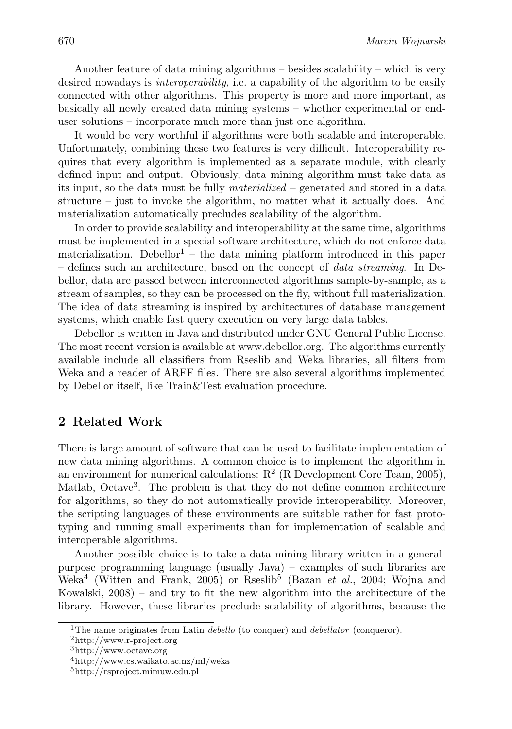Another feature of data mining algorithms – besides scalability – which is very desired nowadays is *interoperability*, i.e. a capability of the algorithm to be easily connected with other algorithms. This property is more and more important, as basically all newly created data mining systems – whether experimental or enduser solutions – incorporate much more than just one algorithm.

It would be very worthful if algorithms were both scalable and interoperable. Unfortunately, combining these two features is very difficult. Interoperability requires that every algorithm is implemented as a separate module, with clearly defined input and output. Obviously, data mining algorithm must take data as its input, so the data must be fully materialized – generated and stored in a data structure – just to invoke the algorithm, no matter what it actually does. And materialization automatically precludes scalability of the algorithm.

In order to provide scalability and interoperability at the same time, algorithms must be implemented in a special software architecture, which do not enforce data materialization. Debellor<sup>1</sup> – the data mining platform introduced in this paper  $-$  defines such an architecture, based on the concept of *data streaming*. In Debellor, data are passed between interconnected algorithms sample-by-sample, as a stream of samples, so they can be processed on the fly, without full materialization. The idea of data streaming is inspired by architectures of database management systems, which enable fast query execution on very large data tables.

Debellor is written in Java and distributed under GNU General Public License. The most recent version is available at www.debellor.org. The algorithms currently available include all classifiers from Rseslib and Weka libraries, all filters from Weka and a reader of ARFF files. There are also several algorithms implemented by Debellor itself, like Train&Test evaluation procedure.

# 2 Related Work

There is large amount of software that can be used to facilitate implementation of new data mining algorithms. A common choice is to implement the algorithm in an environment for numerical calculations:  $R^2$  (R Development Core Team, 2005), Matlab, Octave<sup>3</sup> . The problem is that they do not define common architecture for algorithms, so they do not automatically provide interoperability. Moreover, the scripting languages of these environments are suitable rather for fast prototyping and running small experiments than for implementation of scalable and interoperable algorithms.

Another possible choice is to take a data mining library written in a generalpurpose programming language (usually Java) – examples of such libraries are  $Weka<sup>4</sup>$  (Witten and Frank, 2005) or Rseslib<sup>5</sup> (Bazan et al., 2004; Wojna and Kowalski, 2008) – and try to fit the new algorithm into the architecture of the library. However, these libraries preclude scalability of algorithms, because the

<sup>&</sup>lt;sup>1</sup>The name originates from Latin *debello* (to conquer) and *debellator* (conqueror).

<sup>2</sup>http://www.r-project.org

<sup>3</sup>http://www.octave.org

<sup>4</sup>http://www.cs.waikato.ac.nz/ml/weka

<sup>5</sup>http://rsproject.mimuw.edu.pl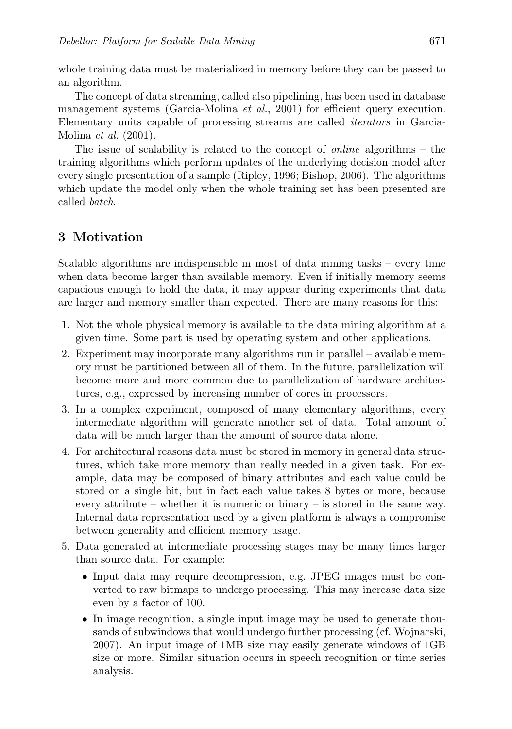whole training data must be materialized in memory before they can be passed to an algorithm.

The concept of data streaming, called also pipelining, has been used in database management systems (Garcia-Molina *et al.*, 2001) for efficient query execution. Elementary units capable of processing streams are called iterators in Garcia-Molina et al. (2001).

The issue of scalability is related to the concept of online algorithms – the training algorithms which perform updates of the underlying decision model after every single presentation of a sample (Ripley, 1996; Bishop, 2006). The algorithms which update the model only when the whole training set has been presented are called batch.

## 3 Motivation

Scalable algorithms are indispensable in most of data mining tasks – every time when data become larger than available memory. Even if initially memory seems capacious enough to hold the data, it may appear during experiments that data are larger and memory smaller than expected. There are many reasons for this:

- 1. Not the whole physical memory is available to the data mining algorithm at a given time. Some part is used by operating system and other applications.
- 2. Experiment may incorporate many algorithms run in parallel available memory must be partitioned between all of them. In the future, parallelization will become more and more common due to parallelization of hardware architectures, e.g., expressed by increasing number of cores in processors.
- 3. In a complex experiment, composed of many elementary algorithms, every intermediate algorithm will generate another set of data. Total amount of data will be much larger than the amount of source data alone.
- 4. For architectural reasons data must be stored in memory in general data structures, which take more memory than really needed in a given task. For example, data may be composed of binary attributes and each value could be stored on a single bit, but in fact each value takes 8 bytes or more, because every attribute – whether it is numeric or binary – is stored in the same way. Internal data representation used by a given platform is always a compromise between generality and efficient memory usage.
- 5. Data generated at intermediate processing stages may be many times larger than source data. For example:
	- Input data may require decompression, e.g. JPEG images must be converted to raw bitmaps to undergo processing. This may increase data size even by a factor of 100.
	- In image recognition, a single input image may be used to generate thousands of subwindows that would undergo further processing (cf. Wojnarski, 2007). An input image of 1MB size may easily generate windows of 1GB size or more. Similar situation occurs in speech recognition or time series analysis.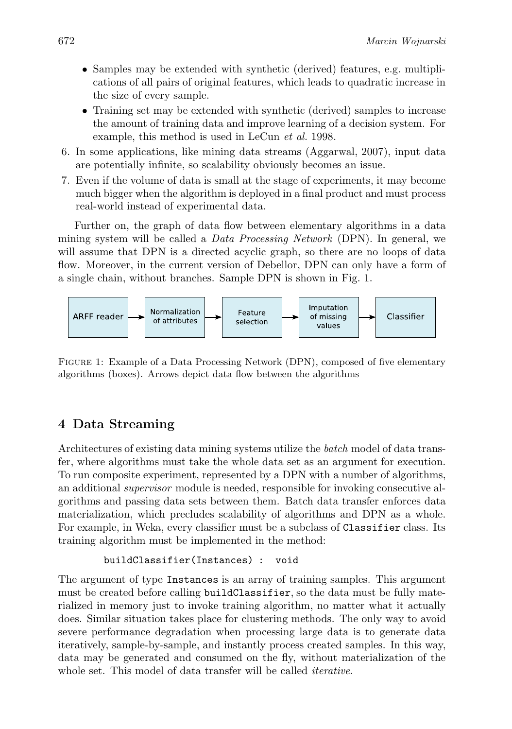- Samples may be extended with synthetic (derived) features, e.g. multiplications of all pairs of original features, which leads to quadratic increase in the size of every sample.
- Training set may be extended with synthetic (derived) samples to increase the amount of training data and improve learning of a decision system. For example, this method is used in LeCun et al. 1998.
- 6. In some applications, like mining data streams (Aggarwal, 2007), input data are potentially infinite, so scalability obviously becomes an issue.
- 7. Even if the volume of data is small at the stage of experiments, it may become much bigger when the algorithm is deployed in a final product and must process real-world instead of experimental data.

Further on, the graph of data flow between elementary algorithms in a data mining system will be called a *Data Processing Network* (DPN). In general, we will assume that DPN is a directed acyclic graph, so there are no loops of data flow. Moreover, in the current version of Debellor, DPN can only have a form of a single chain, without branches. Sample DPN is shown in Fig. 1.



Figure 1: Example of a Data Processing Network (DPN), composed of five elementary algorithms (boxes). Arrows depict data flow between the algorithms

# 4 Data Streaming

Architectures of existing data mining systems utilize the batch model of data transfer, where algorithms must take the whole data set as an argument for execution. To run composite experiment, represented by a DPN with a number of algorithms, an additional supervisor module is needed, responsible for invoking consecutive algorithms and passing data sets between them. Batch data transfer enforces data materialization, which precludes scalability of algorithms and DPN as a whole. For example, in Weka, every classifier must be a subclass of Classifier class. Its training algorithm must be implemented in the method:

```
buildClassifier(Instances) : void
```
The argument of type Instances is an array of training samples. This argument must be created before calling buildClassifier, so the data must be fully materialized in memory just to invoke training algorithm, no matter what it actually does. Similar situation takes place for clustering methods. The only way to avoid severe performance degradation when processing large data is to generate data iteratively, sample-by-sample, and instantly process created samples. In this way, data may be generated and consumed on the fly, without materialization of the whole set. This model of data transfer will be called *iterative*.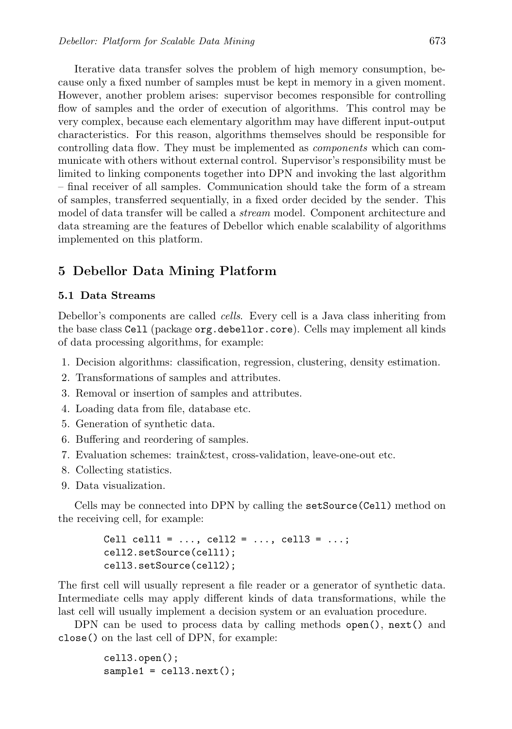Iterative data transfer solves the problem of high memory consumption, because only a fixed number of samples must be kept in memory in a given moment. However, another problem arises: supervisor becomes responsible for controlling flow of samples and the order of execution of algorithms. This control may be very complex, because each elementary algorithm may have different input-output characteristics. For this reason, algorithms themselves should be responsible for controlling data flow. They must be implemented as components which can communicate with others without external control. Supervisor's responsibility must be limited to linking components together into DPN and invoking the last algorithm – final receiver of all samples. Communication should take the form of a stream of samples, transferred sequentially, in a fixed order decided by the sender. This model of data transfer will be called a *stream* model. Component architecture and data streaming are the features of Debellor which enable scalability of algorithms implemented on this platform.

### 5 Debellor Data Mining Platform

#### 5.1 Data Streams

Debellor's components are called *cells*. Every cell is a Java class inheriting from the base class Cell (package org.debellor.core). Cells may implement all kinds of data processing algorithms, for example:

- 1. Decision algorithms: classification, regression, clustering, density estimation.
- 2. Transformations of samples and attributes.
- 3. Removal or insertion of samples and attributes.
- 4. Loading data from file, database etc.
- 5. Generation of synthetic data.
- 6. Buffering and reordering of samples.
- 7. Evaluation schemes: train&test, cross-validation, leave-one-out etc.
- 8. Collecting statistics.
- 9. Data visualization.

Cells may be connected into DPN by calling the setSource(Cell) method on the receiving cell, for example:

```
Cell cell1 = ..., cell2 = ..., cell3 = ...;
cell2.setSource(cell1);
cell3.setSource(cell2);
```
The first cell will usually represent a file reader or a generator of synthetic data. Intermediate cells may apply different kinds of data transformations, while the last cell will usually implement a decision system or an evaluation procedure.

DPN can be used to process data by calling methods open(), next() and close() on the last cell of DPN, for example:

```
cell3.open();
sample1 = cell3.next();
```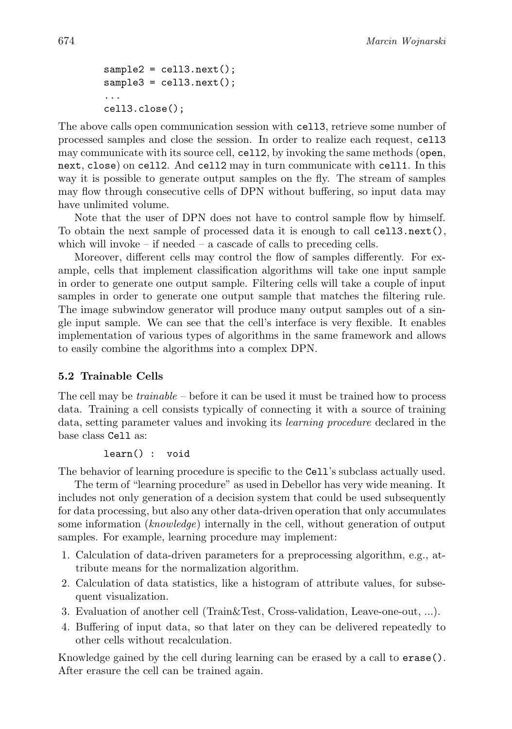```
sample2 = cell3.next();
sample3 = cell3.next();
...
cell3.close();
```
The above calls open communication session with cell3, retrieve some number of processed samples and close the session. In order to realize each request, cell3 may communicate with its source cell, cell2, by invoking the same methods (open, next, close) on cell2. And cell2 may in turn communicate with cell1. In this way it is possible to generate output samples on the fly. The stream of samples may flow through consecutive cells of DPN without buffering, so input data may have unlimited volume.

Note that the user of DPN does not have to control sample flow by himself. To obtain the next sample of processed data it is enough to call cell3.next(), which will invoke – if needed – a cascade of calls to preceding cells.

Moreover, different cells may control the flow of samples differently. For example, cells that implement classification algorithms will take one input sample in order to generate one output sample. Filtering cells will take a couple of input samples in order to generate one output sample that matches the filtering rule. The image subwindow generator will produce many output samples out of a single input sample. We can see that the cell's interface is very flexible. It enables implementation of various types of algorithms in the same framework and allows to easily combine the algorithms into a complex DPN.

#### 5.2 Trainable Cells

The cell may be trainable – before it can be used it must be trained how to process data. Training a cell consists typically of connecting it with a source of training data, setting parameter values and invoking its learning procedure declared in the base class Cell as:

#### learn() : void

The behavior of learning procedure is specific to the Cell's subclass actually used.

The term of "learning procedure" as used in Debellor has very wide meaning. It includes not only generation of a decision system that could be used subsequently for data processing, but also any other data-driven operation that only accumulates some information *(knowledge)* internally in the cell, without generation of output samples. For example, learning procedure may implement:

- 1. Calculation of data-driven parameters for a preprocessing algorithm, e.g., attribute means for the normalization algorithm.
- 2. Calculation of data statistics, like a histogram of attribute values, for subsequent visualization.
- 3. Evaluation of another cell (Train&Test, Cross-validation, Leave-one-out, ...).
- 4. Buffering of input data, so that later on they can be delivered repeatedly to other cells without recalculation.

Knowledge gained by the cell during learning can be erased by a call to erase(). After erasure the cell can be trained again.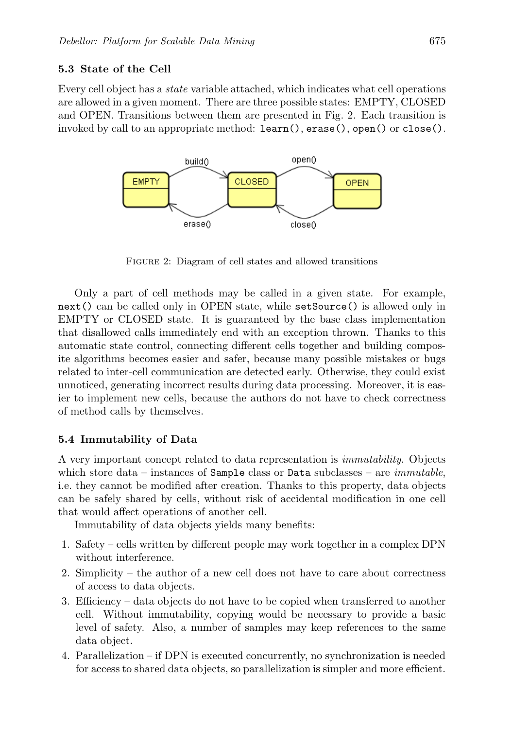Every cell object has a state variable attached, which indicates what cell operations are allowed in a given moment. There are three possible states: EMPTY, CLOSED and OPEN. Transitions between them are presented in Fig. 2. Each transition is invoked by call to an appropriate method: learn(), erase(), open() or close().



FIGURE 2: Diagram of cell states and allowed transitions

Only a part of cell methods may be called in a given state. For example, next() can be called only in OPEN state, while setSource() is allowed only in EMPTY or CLOSED state. It is guaranteed by the base class implementation that disallowed calls immediately end with an exception thrown. Thanks to this automatic state control, connecting different cells together and building composite algorithms becomes easier and safer, because many possible mistakes or bugs related to inter-cell communication are detected early. Otherwise, they could exist unnoticed, generating incorrect results during data processing. Moreover, it is easier to implement new cells, because the authors do not have to check correctness of method calls by themselves.

#### 5.4 Immutability of Data

A very important concept related to data representation is immutability. Objects which store data – instances of Sample class or Data subclasses – are  $immutable$ , i.e. they cannot be modified after creation. Thanks to this property, data objects can be safely shared by cells, without risk of accidental modification in one cell that would affect operations of another cell.

Immutability of data objects yields many benefits:

- 1. Safety cells written by different people may work together in a complex DPN without interference.
- 2. Simplicity the author of a new cell does not have to care about correctness of access to data objects.
- 3. Efficiency data objects do not have to be copied when transferred to another cell. Without immutability, copying would be necessary to provide a basic level of safety. Also, a number of samples may keep references to the same data object.
- 4. Parallelization if DPN is executed concurrently, no synchronization is needed for access to shared data objects, so parallelization is simpler and more efficient.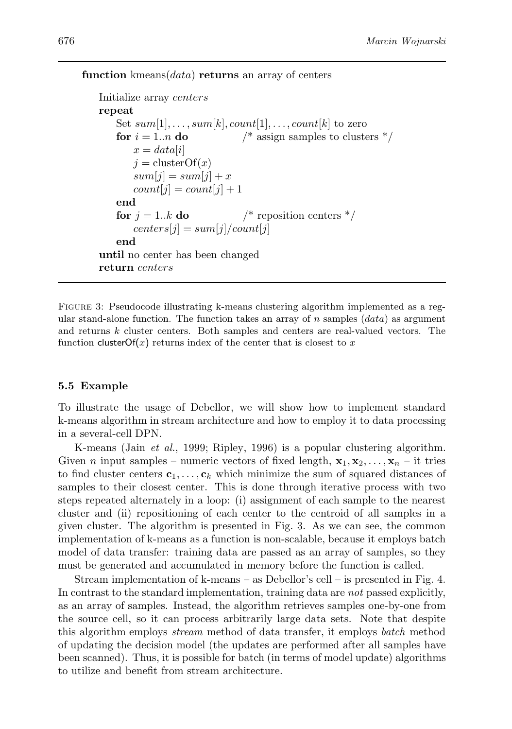function kmeans( $data$ ) returns an array of centers

```
Initialize array centers
repeat
   Set sum[1], \ldots, sum[k], count[1], \ldots, count[k] to zero
   for i = 1..n do \qquad \qquad /^* assign samples to clusters */x = data[i]j = clusterOf(x)sum[i] = sum[i] + xcount[j] = count[j] + 1end
   for j = 1..k do /* reposition centers */
       centers[j] = sum[j]/count[j]end
until no center has been changed
return centers
```
Figure 3: Pseudocode illustrating k-means clustering algorithm implemented as a regular stand-alone function. The function takes an array of n samples  $(data)$  as argument and returns k cluster centers. Both samples and centers are real-valued vectors. The function cluster  $\mathsf{Of}(x)$  returns index of the center that is closest to x

#### 5.5 Example

To illustrate the usage of Debellor, we will show how to implement standard k-means algorithm in stream architecture and how to employ it to data processing in a several-cell DPN.

K-means (Jain *et al.*, 1999; Ripley, 1996) is a popular clustering algorithm. Given n input samples – numeric vectors of fixed length,  $\mathbf{x}_1, \mathbf{x}_2, \ldots, \mathbf{x}_n$  – it tries to find cluster centers  $c_1, \ldots, c_k$  which minimize the sum of squared distances of samples to their closest center. This is done through iterative process with two steps repeated alternately in a loop: (i) assignment of each sample to the nearest cluster and (ii) repositioning of each center to the centroid of all samples in a given cluster. The algorithm is presented in Fig. 3. As we can see, the common implementation of k-means as a function is non-scalable, because it employs batch model of data transfer: training data are passed as an array of samples, so they must be generated and accumulated in memory before the function is called.

Stream implementation of k-means – as Debellor's cell – is presented in Fig. 4. In contrast to the standard implementation, training data are not passed explicitly, as an array of samples. Instead, the algorithm retrieves samples one-by-one from the source cell, so it can process arbitrarily large data sets. Note that despite this algorithm employs stream method of data transfer, it employs batch method of updating the decision model (the updates are performed after all samples have been scanned). Thus, it is possible for batch (in terms of model update) algorithms to utilize and benefit from stream architecture.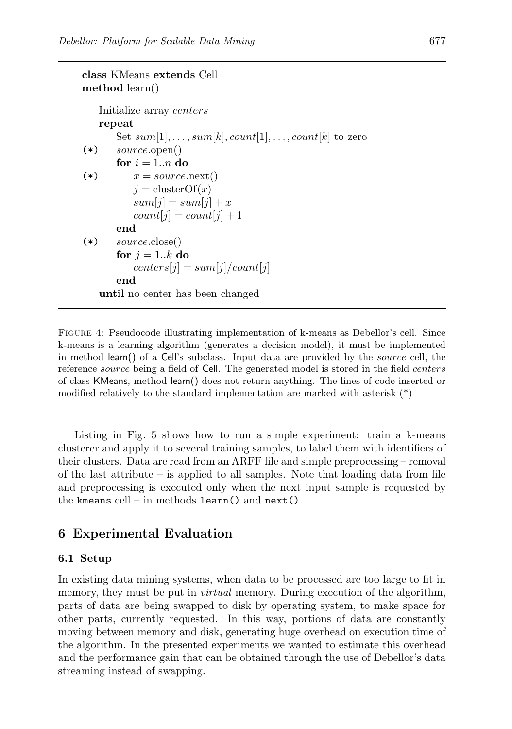```
class KMeans extends Cell
method learn()
   Initialize array centers
   repeat
       Set sum[1], \ldots, sum[k], count[1], \ldots, count[k] to zero
(*) source.open()
       for i = 1..n do
(*) x = source.next()i = clusterOf(x)sum[i] = sum[i] + xcount[j] = count[j] + 1end
(*)\qquad source.close()for j = 1..k do
          centers[j] = sum[j]/count[j]end
   until no center has been changed
```
Figure 4: Pseudocode illustrating implementation of k-means as Debellor's cell. Since k-means is a learning algorithm (generates a decision model), it must be implemented in method learn() of a Cell's subclass. Input data are provided by the *source* cell, the reference *source* being a field of Cell. The generated model is stored in the field *centers* of class KMeans, method learn() does not return anything. The lines of code inserted or modified relatively to the standard implementation are marked with asterisk (\*)

Listing in Fig. 5 shows how to run a simple experiment: train a k-means clusterer and apply it to several training samples, to label them with identifiers of their clusters. Data are read from an ARFF file and simple preprocessing – removal of the last attribute  $-$  is applied to all samples. Note that loading data from file and preprocessing is executed only when the next input sample is requested by the kmeans  $cell - in$  methods  $learn()$  and  $next()$ .

## 6 Experimental Evaluation

#### 6.1 Setup

In existing data mining systems, when data to be processed are too large to fit in memory, they must be put in *virtual* memory. During execution of the algorithm, parts of data are being swapped to disk by operating system, to make space for other parts, currently requested. In this way, portions of data are constantly moving between memory and disk, generating huge overhead on execution time of the algorithm. In the presented experiments we wanted to estimate this overhead and the performance gain that can be obtained through the use of Debellor's data streaming instead of swapping.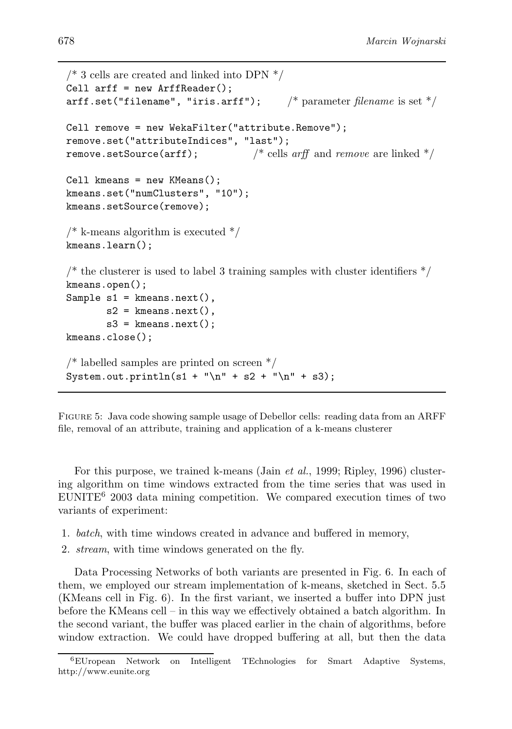```
\frac{1}{2} cells are created and linked into DPN \frac{*}{2}Cell arf = new ArffReader();
arff.set("filename", "iris.arff"); \frac{1}{2} \frac{1}{2} \frac{1}{2} parameter filename is set \frac{1}{2} /
Cell remove = new WekaFilter("attribute.Remove");
remove.set("attributeIndices", "last");
remove.setSource(arff); \frac{1}{2} /* cells arff and remove are linked */
Cell kmeans = new KMeans();
kmeans.set("numClusters", "10");
kmeans.setSource(remove);
\frac{1}{\sqrt{2}} k-means algorithm is executed \frac{1}{\sqrt{2}}kmeans.learn();
\frac{1}{\sqrt{2}} the clusterer is used to label 3 training samples with cluster identifiers \frac{1}{\sqrt{2}}kmeans.open();
Sample s1 = kmeans.next(),
         s2 = kmeans.next(),
         s3 = kmeans.next();
kmeans.close();
\frac{1}{2} labelled samples are printed on screen \frac{1}{2}System.out.println(s1 + "\n" + s2 + "\n" + s3);
```
Figure 5: Java code showing sample usage of Debellor cells: reading data from an ARFF file, removal of an attribute, training and application of a k-means clusterer

For this purpose, we trained k-means (Jain et al., 1999; Ripley, 1996) clustering algorithm on time windows extracted from the time series that was used in EUNITE<sup>6</sup> 2003 data mining competition. We compared execution times of two variants of experiment:

- 1. batch, with time windows created in advance and buffered in memory,
- 2. *stream*, with time windows generated on the fly.

Data Processing Networks of both variants are presented in Fig. 6. In each of them, we employed our stream implementation of k-means, sketched in Sect. 5.5 (KMeans cell in Fig. 6). In the first variant, we inserted a buffer into DPN just before the KMeans cell – in this way we effectively obtained a batch algorithm. In the second variant, the buffer was placed earlier in the chain of algorithms, before window extraction. We could have dropped buffering at all, but then the data

<sup>6</sup>EUropean Network on Intelligent TEchnologies for Smart Adaptive Systems, http://www.eunite.org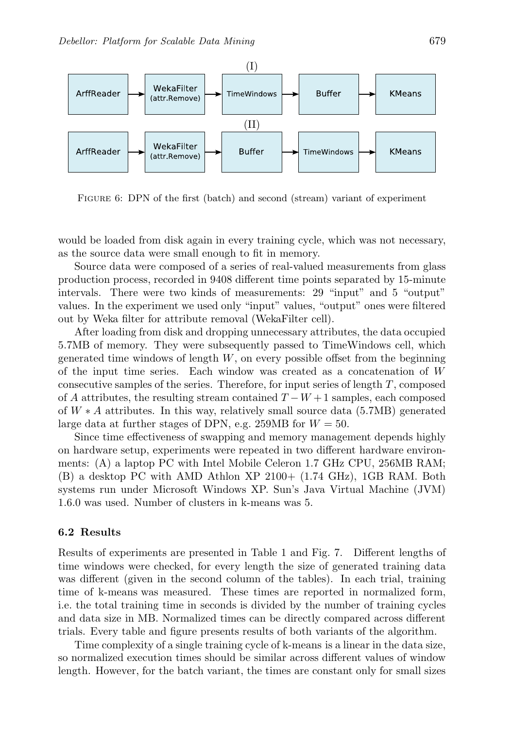

Figure 6: DPN of the first (batch) and second (stream) variant of experiment

would be loaded from disk again in every training cycle, which was not necessary, as the source data were small enough to fit in memory.

Source data were composed of a series of real-valued measurements from glass production process, recorded in 9408 different time points separated by 15-minute intervals. There were two kinds of measurements: 29 "input" and 5 "output" values. In the experiment we used only "input" values, "output" ones were filtered out by Weka filter for attribute removal (WekaFilter cell).

After loading from disk and dropping unnecessary attributes, the data occupied 5.7MB of memory. They were subsequently passed to TimeWindows cell, which generated time windows of length  $W$ , on every possible offset from the beginning of the input time series. Each window was created as a concatenation of W consecutive samples of the series. Therefore, for input series of length  $T$ , composed of A attributes, the resulting stream contained  $T - W + 1$  samples, each composed of  $W \ast A$  attributes. In this way, relatively small source data (5.7MB) generated large data at further stages of DPN, e.g. 259MB for  $W = 50$ .

Since time effectiveness of swapping and memory management depends highly on hardware setup, experiments were repeated in two different hardware environments: (A) a laptop PC with Intel Mobile Celeron 1.7 GHz CPU, 256MB RAM; (B) a desktop PC with AMD Athlon XP 2100+ (1.74 GHz), 1GB RAM. Both systems run under Microsoft Windows XP. Sun's Java Virtual Machine (JVM) 1.6.0 was used. Number of clusters in k-means was 5.

#### 6.2 Results

Results of experiments are presented in Table 1 and Fig. 7. Different lengths of time windows were checked, for every length the size of generated training data was different (given in the second column of the tables). In each trial, training time of k-means was measured. These times are reported in normalized form, i.e. the total training time in seconds is divided by the number of training cycles and data size in MB. Normalized times can be directly compared across different trials. Every table and figure presents results of both variants of the algorithm.

Time complexity of a single training cycle of k-means is a linear in the data size, so normalized execution times should be similar across different values of window length. However, for the batch variant, the times are constant only for small sizes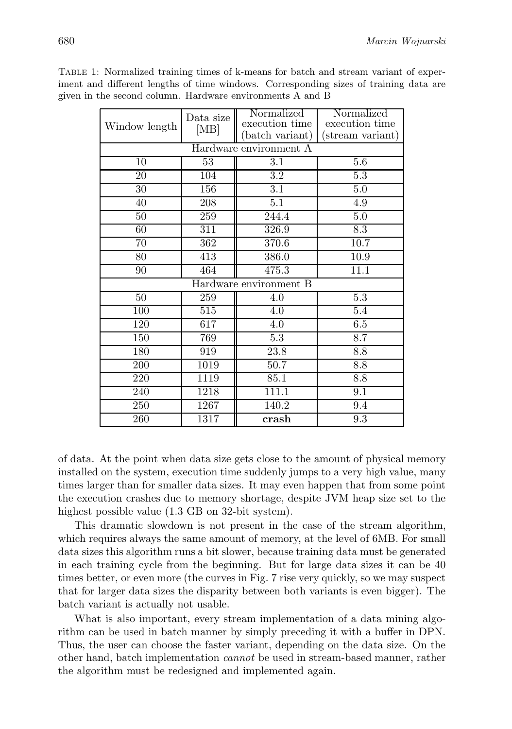| Window length          | Data size<br>[MB] | Normalized<br>execution time | Normalized<br>execution time |
|------------------------|-------------------|------------------------------|------------------------------|
|                        |                   | (batch variant)              | (stream variant)             |
| Hardware environment A |                   |                              |                              |
| 10                     | 53                | 3.1                          | 5.6                          |
| 20                     | 104               | 3.2                          | 5.3                          |
| $30\,$                 | 156               | 3.1                          | 5.0                          |
| 40                     | 208               | $\overline{5.1}$             | 4.9                          |
| 50                     | 259               | 244.4                        | 5.0                          |
| 60                     | 311               | 326.9                        | 8.3                          |
| 70                     | $\overline{362}$  | 370.6                        | 10.7                         |
| 80                     | 413               | 386.0                        | 10.9                         |
| 90                     | 464               | 475.3                        | 11.1                         |
| Hardware environment B |                   |                              |                              |
| $\overline{50}$        | 259               | $\overline{4.0}$             | 5.3                          |
| 100                    | 515               | $\overline{4.0}$             | 5.4                          |
| 120                    | 617               | $\overline{4.0}$             | 6.5                          |
| 150                    | 769               | 5.3                          | 8.7                          |
| 180                    | 919               | 23.8                         | 8.8                          |
| 200                    | 1019              | 50.7                         | 8.8                          |
| 220                    | 1119              | 85.1                         | 8.8                          |
| 240                    | 1218              | 111.1                        | 9.1                          |
| 250                    | 1267              | 140.2                        | 9.4                          |
| 260                    | 1317              | crash                        | 9.3                          |

Table 1: Normalized training times of k-means for batch and stream variant of experiment and different lengths of time windows. Corresponding sizes of training data are given in the second column. Hardware environments A and B

of data. At the point when data size gets close to the amount of physical memory installed on the system, execution time suddenly jumps to a very high value, many times larger than for smaller data sizes. It may even happen that from some point the execution crashes due to memory shortage, despite JVM heap size set to the highest possible value  $(1.3 \text{ GB} \text{ on } 32\text{-bit} \text{ system}).$ 

This dramatic slowdown is not present in the case of the stream algorithm, which requires always the same amount of memory, at the level of 6MB. For small data sizes this algorithm runs a bit slower, because training data must be generated in each training cycle from the beginning. But for large data sizes it can be 40 times better, or even more (the curves in Fig. 7 rise very quickly, so we may suspect that for larger data sizes the disparity between both variants is even bigger). The batch variant is actually not usable.

What is also important, every stream implementation of a data mining algorithm can be used in batch manner by simply preceding it with a buffer in DPN. Thus, the user can choose the faster variant, depending on the data size. On the other hand, batch implementation cannot be used in stream-based manner, rather the algorithm must be redesigned and implemented again.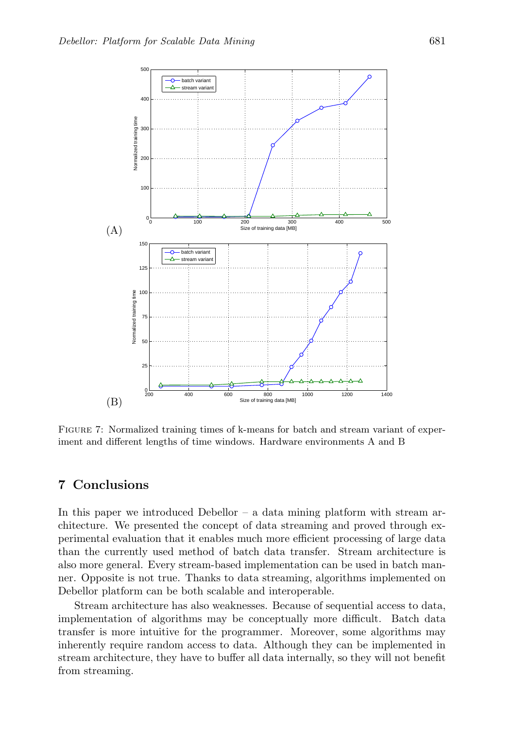

FIGURE 7: Normalized training times of k-means for batch and stream variant of experiment and different lengths of time windows. Hardware environments A and B

### 7 Conclusions

In this paper we introduced Debellor – a data mining platform with stream architecture. We presented the concept of data streaming and proved through experimental evaluation that it enables much more efficient processing of large data than the currently used method of batch data transfer. Stream architecture is also more general. Every stream-based implementation can be used in batch manner. Opposite is not true. Thanks to data streaming, algorithms implemented on Debellor platform can be both scalable and interoperable.

Stream architecture has also weaknesses. Because of sequential access to data, implementation of algorithms may be conceptually more difficult. Batch data transfer is more intuitive for the programmer. Moreover, some algorithms may inherently require random access to data. Although they can be implemented in stream architecture, they have to buffer all data internally, so they will not benefit from streaming.